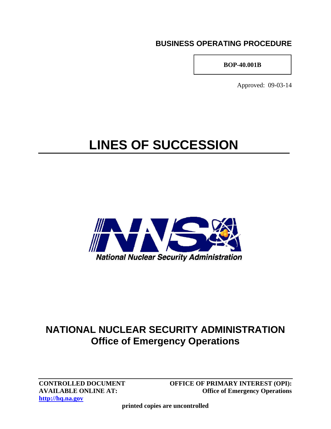### **BUSINESS OPERATING PROCEDURE**

**BOP-40.001B** 

Approved: 09-03-14

# **LINES OF SUCCESSION**



## **NATIONAL NUCLEAR SECURITY ADMINISTRATION Office of Emergency Operations**

**http://hq.na.gov**

**CONTROLLED DOCUMENT OFFICE OF PRIMARY INTEREST (OPI): AVAILABLE ONLINE AT: Office of Emergency Operations** 

**printed copies are uncontrolled**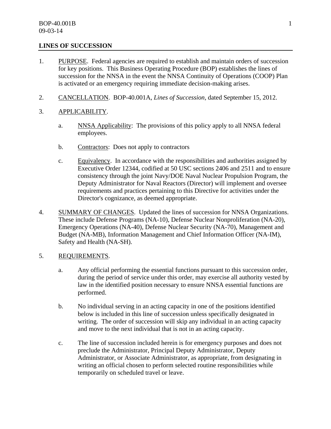#### **LINES OF SUCCESSION**

- 1. PURPOSE. Federal agencies are required to establish and maintain orders of succession for key positions. This Business Operating Procedure (BOP) establishes the lines of succession for the NNSA in the event the NNSA Continuity of Operations (COOP) Plan is activated or an emergency requiring immediate decision-making arises.
- 2. CANCELLATION. BOP-40.001A, *Lines of Succession,* dated September 15, 2012.
- 3. APPLICABILITY.
	- a. NNSA Applicability: The provisions of this policy apply to all NNSA federal employees.
	- b. Contractors: Does not apply to contractors
	- c. Equivalency. In accordance with the responsibilities and authorities assigned by Executive Order 12344, codified at 50 USC sections 2406 and 2511 and to ensure consistency through the joint Navy/DOE Naval Nuclear Propulsion Program, the Deputy Administrator for Naval Reactors (Director) will implement and oversee requirements and practices pertaining to this Directive for activities under the Director's cognizance, as deemed appropriate.
- 4. SUMMARY OF CHANGES. Updated the lines of succession for NNSA Organizations. These include Defense Programs (NA-10), Defense Nuclear Nonproliferation (NA-20), Emergency Operations (NA-40), Defense Nuclear Security (NA-70), Management and Budget (NA-MB), Information Management and Chief Information Officer (NA-IM), Safety and Health (NA-SH).

#### 5. REQUIREMENTS.

- a. Any official performing the essential functions pursuant to this succession order, during the period of service under this order, may exercise all authority vested by law in the identified position necessary to ensure NNSA essential functions are performed.
- b. No individual serving in an acting capacity in one of the positions identified below is included in this line of succession unless specifically designated in writing. The order of succession will skip any individual in an acting capacity and move to the next individual that is not in an acting capacity.
- c. The line of succession included herein is for emergency purposes and does not preclude the Administrator, Principal Deputy Administrator, Deputy Administrator, or Associate Administrator, as appropriate, from designating in writing an official chosen to perform selected routine responsibilities while temporarily on scheduled travel or leave.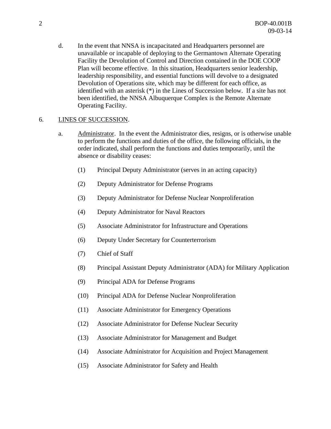d. In the event that NNSA is incapacitated and Headquarters personnel are unavailable or incapable of deploying to the Germantown Alternate Operating Facility the Devolution of Control and Direction contained in the DOE COOP Plan will become effective. In this situation, Headquarters senior leadership, leadership responsibility, and essential functions will devolve to a designated Devolution of Operations site, which may be different for each office, as identified with an asterisk (\*) in the Lines of Succession below. If a site has not been identified, the NNSA Albuquerque Complex is the Remote Alternate Operating Facility.

#### 6. LINES OF SUCCESSION.

- a. Administrator. In the event the Administrator dies, resigns, or is otherwise unable to perform the functions and duties of the office, the following officials, in the order indicated, shall perform the functions and duties temporarily, until the absence or disability ceases:
	- (1) Principal Deputy Administrator (serves in an acting capacity)
	- (2) Deputy Administrator for Defense Programs
	- (3) Deputy Administrator for Defense Nuclear Nonproliferation
	- (4) Deputy Administrator for Naval Reactors
	- (5) Associate Administrator for Infrastructure and Operations
	- (6) Deputy Under Secretary for Counterterrorism
	- (7) Chief of Staff
	- (8) Principal Assistant Deputy Administrator (ADA) for Military Application
	- (9) Principal ADA for Defense Programs
	- (10) Principal ADA for Defense Nuclear Nonproliferation
	- (11) Associate Administrator for Emergency Operations
	- (12) Associate Administrator for Defense Nuclear Security
	- (13) Associate Administrator for Management and Budget
	- (14) Associate Administrator for Acquisition and Project Management
	- (15) Associate Administrator for Safety and Health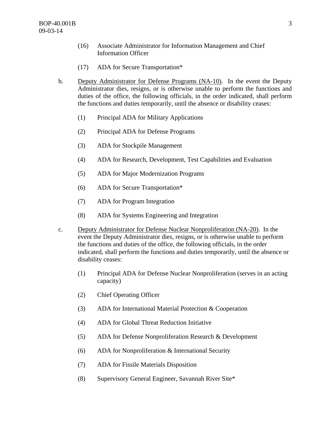- (16) Associate Administrator for Information Management and Chief Information Officer
- (17) ADA for Secure Transportation\*
- b. Deputy Administrator for Defense Programs (NA-10). In the event the Deputy Administrator dies, resigns, or is otherwise unable to perform the functions and duties of the office, the following officials, in the order indicated, shall perform the functions and duties temporarily, until the absence or disability ceases:
	- (1) Principal ADA for Military Applications
	- (2) Principal ADA for Defense Programs
	- (3) ADA for Stockpile Management
	- (4) ADA for Research, Development, Test Capabilities and Evaluation
	- (5) ADA for Major Modernization Programs
	- (6) ADA for Secure Transportation\*
	- (7) ADA for Program Integration
	- (8) ADA for Systems Engineering and Integration
- c. Deputy Administrator for Defense Nuclear Nonproliferation (NA-20). In the event the Deputy Administrator dies, resigns, or is otherwise unable to perform the functions and duties of the office, the following officials, in the order indicated, shall perform the functions and duties temporarily, until the absence or disability ceases:
	- (1) Principal ADA for Defense Nuclear Nonproliferation (serves in an acting capacity)
	- (2) Chief Operating Officer
	- (3) ADA for International Material Protection & Cooperation
	- (4) ADA for Global Threat Reduction Initiative
	- (5) ADA for Defense Nonproliferation Research & Development
	- (6) ADA for Nonproliferation & International Security
	- (7) ADA for Fissile Materials Disposition
	- (8) Supervisory General Engineer, Savannah River Site\*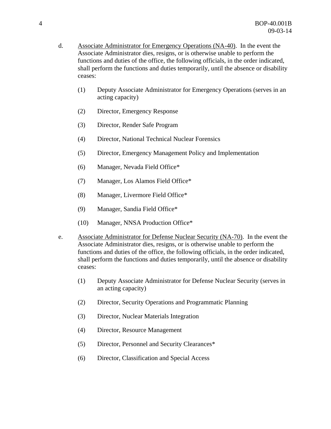- d. Associate Administrator for Emergency Operations (NA-40). In the event the Associate Administrator dies, resigns, or is otherwise unable to perform the functions and duties of the office, the following officials, in the order indicated, shall perform the functions and duties temporarily, until the absence or disability ceases:
	- (1) Deputy Associate Administrator for Emergency Operations (serves in an acting capacity)
	- (2) Director, Emergency Response
	- (3) Director, Render Safe Program
	- (4) Director, National Technical Nuclear Forensics
	- (5) Director, Emergency Management Policy and Implementation
	- (6) Manager, Nevada Field Office\*
	- (7) Manager, Los Alamos Field Office\*
	- (8) Manager, Livermore Field Office\*
	- (9) Manager, Sandia Field Office\*
	- (10) Manager, NNSA Production Office\*
- e. Associate Administrator for Defense Nuclear Security (NA-70). In the event the Associate Administrator dies, resigns, or is otherwise unable to perform the functions and duties of the office, the following officials, in the order indicated, shall perform the functions and duties temporarily, until the absence or disability ceases:
	- (1) Deputy Associate Administrator for Defense Nuclear Security (serves in an acting capacity)
	- (2) Director, Security Operations and Programmatic Planning
	- (3) Director, Nuclear Materials Integration
	- (4) Director, Resource Management
	- (5) Director, Personnel and Security Clearances\*
	- (6) Director, Classification and Special Access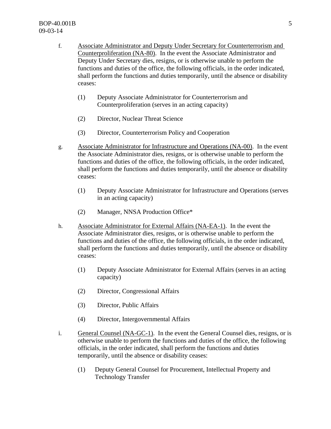- f. Associate Administrator and Deputy Under Secretary for Counterterrorism and Counterproliferation (NA-80). In the event the Associate Administrator and Deputy Under Secretary dies, resigns, or is otherwise unable to perform the functions and duties of the office, the following officials, in the order indicated, shall perform the functions and duties temporarily, until the absence or disability ceases:
	- (1) Deputy Associate Administrator for Counterterrorism and Counterproliferation (serves in an acting capacity)
	- (2) Director, Nuclear Threat Science
	- (3) Director, Counterterrorism Policy and Cooperation
- g. Associate Administrator for Infrastructure and Operations (NA-00). In the event the Associate Administrator dies, resigns, or is otherwise unable to perform the functions and duties of the office, the following officials, in the order indicated, shall perform the functions and duties temporarily, until the absence or disability ceases:
	- (1) Deputy Associate Administrator for Infrastructure and Operations (serves in an acting capacity)
	- (2) Manager, NNSA Production Office\*
- h. Associate Administrator for External Affairs (NA-EA-1). In the event the Associate Administrator dies, resigns, or is otherwise unable to perform the functions and duties of the office, the following officials, in the order indicated, shall perform the functions and duties temporarily, until the absence or disability ceases:
	- (1) Deputy Associate Administrator for External Affairs (serves in an acting capacity)
	- (2) Director, Congressional Affairs
	- (3) Director, Public Affairs
	- (4) Director, Intergovernmental Affairs
- i. General Counsel (NA-GC-1). In the event the General Counsel dies, resigns, or is otherwise unable to perform the functions and duties of the office, the following officials, in the order indicated, shall perform the functions and duties temporarily, until the absence or disability ceases:
	- (1) Deputy General Counsel for Procurement, Intellectual Property and Technology Transfer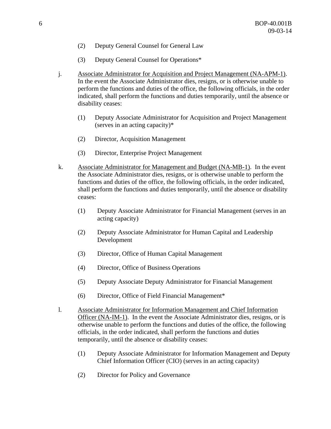- (2) Deputy General Counsel for General Law
- (3) Deputy General Counsel for Operations\*
- j. Associate Administrator for Acquisition and Project Management (NA-APM-1). In the event the Associate Administrator dies, resigns, or is otherwise unable to perform the functions and duties of the office, the following officials, in the order indicated, shall perform the functions and duties temporarily, until the absence or disability ceases:
	- (1) Deputy Associate Administrator for Acquisition and Project Management (serves in an acting capacity)\*
	- (2) Director, Acquisition Management
	- (3) Director, Enterprise Project Management
- k. Associate Administrator for Management and Budget (NA-MB-1). In the event the Associate Administrator dies, resigns, or is otherwise unable to perform the functions and duties of the office, the following officials, in the order indicated, shall perform the functions and duties temporarily, until the absence or disability ceases:
	- (1) Deputy Associate Administrator for Financial Management (serves in an acting capacity)
	- (2) Deputy Associate Administrator for Human Capital and Leadership Development
	- (3) Director, Office of Human Capital Management
	- (4) Director, Office of Business Operations
	- (5) Deputy Associate Deputy Administrator for Financial Management
	- (6) Director, Office of Field Financial Management\*
- l. Associate Administrator for Information Management and Chief Information Officer (NA-IM-1). In the event the Associate Administrator dies, resigns, or is otherwise unable to perform the functions and duties of the office, the following officials, in the order indicated, shall perform the functions and duties temporarily, until the absence or disability ceases:
	- (1) Deputy Associate Administrator for Information Management and Deputy Chief Information Officer (CIO) (serves in an acting capacity)
	- (2) Director for Policy and Governance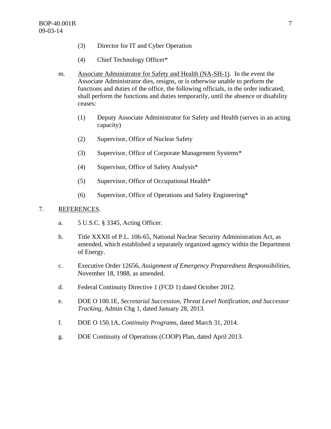- (3) Director for IT and Cyber Operation
- (4) Chief Technology Officer\*
- m. Associate Administrator for Safety and Health (NA-SH-1). In the event the Associate Administrator dies, resigns, or is otherwise unable to perform the functions and duties of the office, the following officials, in the order indicated, shall perform the functions and duties temporarily, until the absence or disability ceases:
	- (1) Deputy Associate Administrator for Safety and Health (serves in an acting capacity)
	- (2) Supervisor, Office of Nuclear Safety
	- (3) Supervisor, Office of Corporate Management Systems\*
	- (4) Supervisor, Office of Safety Analysis\*
	- (5) Supervisor, Office of Occupational Health\*
	- (6) Supervisor, Office of Operations and Safety Engineering\*

#### 7. REFERENCES.

- a. 5 U.S.C. § 3345, Acting Officer.
- b. Title XXXII of P.L. 106-65, National Nuclear Security Administration Act, as amended, which established a separately organized agency within the Department of Energy.
- c. Executive Order 12656, *Assignment of Emergency Preparedness Responsibilities*, November 18, 1988, as amended.
- d. Federal Continuity Directive 1 (FCD 1) dated October 2012.
- e. DOE O 100.1E, *Secretarial Succession, Threat Level Notification, and Successor Tracking*, Admin Chg 1, dated January 28, 2013.
- f. DOE O 150.1A, *Continuity Programs*, dated March 31, 2014.
- g. DOE Continuity of Operations (COOP) Plan, dated April 2013.